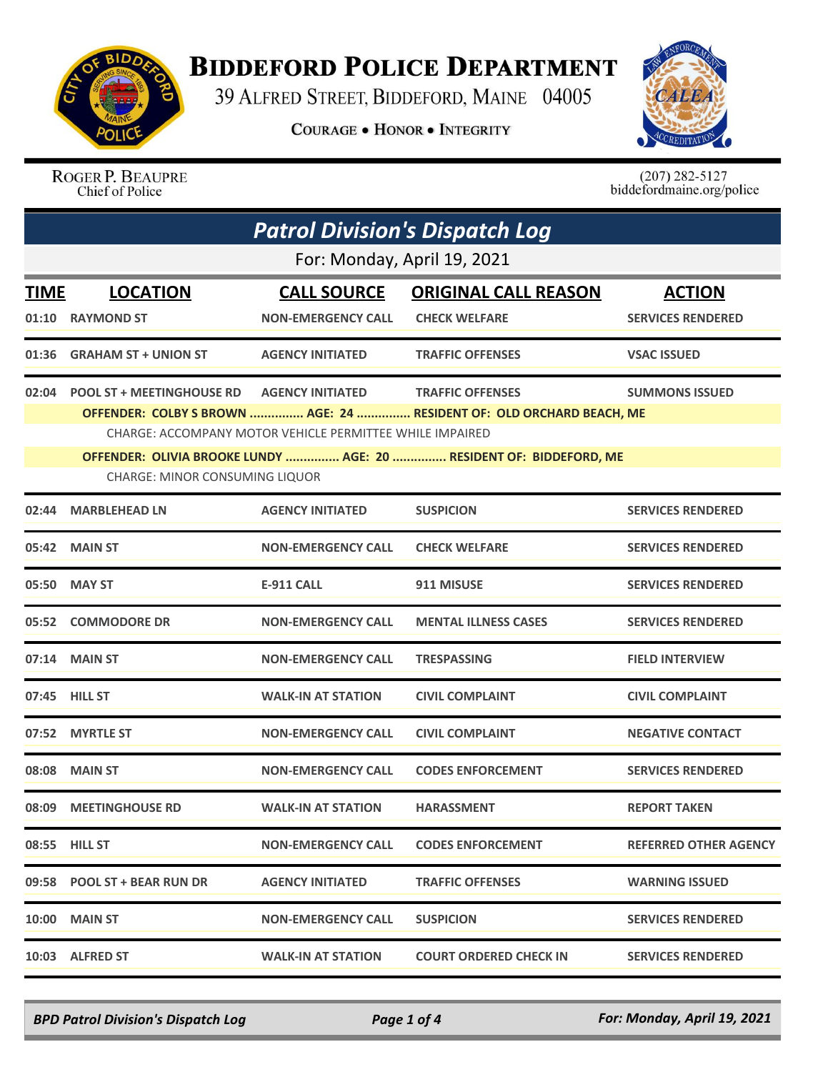

## **BIDDEFORD POLICE DEPARTMENT**

39 ALFRED STREET, BIDDEFORD, MAINE 04005

**COURAGE . HONOR . INTEGRITY** 



ROGER P. BEAUPRE Chief of Police

 $(207)$  282-5127<br>biddefordmaine.org/police

| <b>Patrol Division's Dispatch Log</b> |                                                                                                             |                                                 |                                                                                                 |                                           |  |  |
|---------------------------------------|-------------------------------------------------------------------------------------------------------------|-------------------------------------------------|-------------------------------------------------------------------------------------------------|-------------------------------------------|--|--|
|                                       | For: Monday, April 19, 2021                                                                                 |                                                 |                                                                                                 |                                           |  |  |
| <b>TIME</b><br>01:10                  | <b>LOCATION</b><br><b>RAYMOND ST</b>                                                                        | <b>CALL SOURCE</b><br><b>NON-EMERGENCY CALL</b> | <b>ORIGINAL CALL REASON</b><br><b>CHECK WELFARE</b>                                             | <b>ACTION</b><br><b>SERVICES RENDERED</b> |  |  |
|                                       |                                                                                                             |                                                 |                                                                                                 |                                           |  |  |
| 01:36                                 | <b>GRAHAM ST + UNION ST</b>                                                                                 | <b>AGENCY INITIATED</b>                         | <b>TRAFFIC OFFENSES</b>                                                                         | <b>VSAC ISSUED</b>                        |  |  |
| 02:04                                 | <b>POOL ST + MEETINGHOUSE RD</b>                                                                            | <b>AGENCY INITIATED</b>                         | <b>TRAFFIC OFFENSES</b><br>OFFENDER: COLBY S BROWN  AGE: 24  RESIDENT OF: OLD ORCHARD BEACH, ME | <b>SUMMONS ISSUED</b>                     |  |  |
|                                       | CHARGE: ACCOMPANY MOTOR VEHICLE PERMITTEE WHILE IMPAIRED                                                    |                                                 |                                                                                                 |                                           |  |  |
|                                       | OFFENDER: OLIVIA BROOKE LUNDY  AGE: 20  RESIDENT OF: BIDDEFORD, ME<br><b>CHARGE: MINOR CONSUMING LIQUOR</b> |                                                 |                                                                                                 |                                           |  |  |
| 02:44                                 | <b>MARBLEHEAD LN</b>                                                                                        | <b>AGENCY INITIATED</b>                         | <b>SUSPICION</b>                                                                                | <b>SERVICES RENDERED</b>                  |  |  |
|                                       | 05:42 MAIN ST                                                                                               | <b>NON-EMERGENCY CALL</b>                       | <b>CHECK WELFARE</b>                                                                            | <b>SERVICES RENDERED</b>                  |  |  |
|                                       | 05:50 MAY ST                                                                                                | <b>E-911 CALL</b>                               | 911 MISUSE                                                                                      | <b>SERVICES RENDERED</b>                  |  |  |
|                                       | 05:52 COMMODORE DR                                                                                          | <b>NON-EMERGENCY CALL</b>                       | <b>MENTAL ILLNESS CASES</b>                                                                     | <b>SERVICES RENDERED</b>                  |  |  |
|                                       | 07:14 MAIN ST                                                                                               | <b>NON-EMERGENCY CALL</b>                       | <b>TRESPASSING</b>                                                                              | <b>FIELD INTERVIEW</b>                    |  |  |
|                                       | 07:45 HILL ST                                                                                               | <b>WALK-IN AT STATION</b>                       | <b>CIVIL COMPLAINT</b>                                                                          | <b>CIVIL COMPLAINT</b>                    |  |  |
| 07:52                                 | <b>MYRTLE ST</b>                                                                                            | <b>NON-EMERGENCY CALL</b>                       | <b>CIVIL COMPLAINT</b>                                                                          | <b>NEGATIVE CONTACT</b>                   |  |  |
|                                       | 08:08 MAIN ST                                                                                               | <b>NON-EMERGENCY CALL</b>                       | <b>CODES ENFORCEMENT</b>                                                                        | <b>SERVICES RENDERED</b>                  |  |  |
|                                       | 08:09 MEETINGHOUSE RD                                                                                       | <b>WALK-IN AT STATION</b>                       | <b>HARASSMENT</b>                                                                               | <b>REPORT TAKEN</b>                       |  |  |
|                                       | 08:55 HILL ST                                                                                               | <b>NON-EMERGENCY CALL</b>                       | <b>CODES ENFORCEMENT</b>                                                                        | <b>REFERRED OTHER AGENCY</b>              |  |  |
|                                       | 09:58 POOL ST + BEAR RUN DR                                                                                 | <b>AGENCY INITIATED</b>                         | <b>TRAFFIC OFFENSES</b>                                                                         | <b>WARNING ISSUED</b>                     |  |  |
|                                       | <b>10:00 MAIN ST</b>                                                                                        | <b>NON-EMERGENCY CALL</b>                       | <b>SUSPICION</b>                                                                                | <b>SERVICES RENDERED</b>                  |  |  |
|                                       | 10:03 ALFRED ST                                                                                             | <b>WALK-IN AT STATION</b>                       | <b>COURT ORDERED CHECK IN</b>                                                                   | <b>SERVICES RENDERED</b>                  |  |  |

*BPD Patrol Division's Dispatch Log Page 1 of 4 For: Monday, April 19, 2021*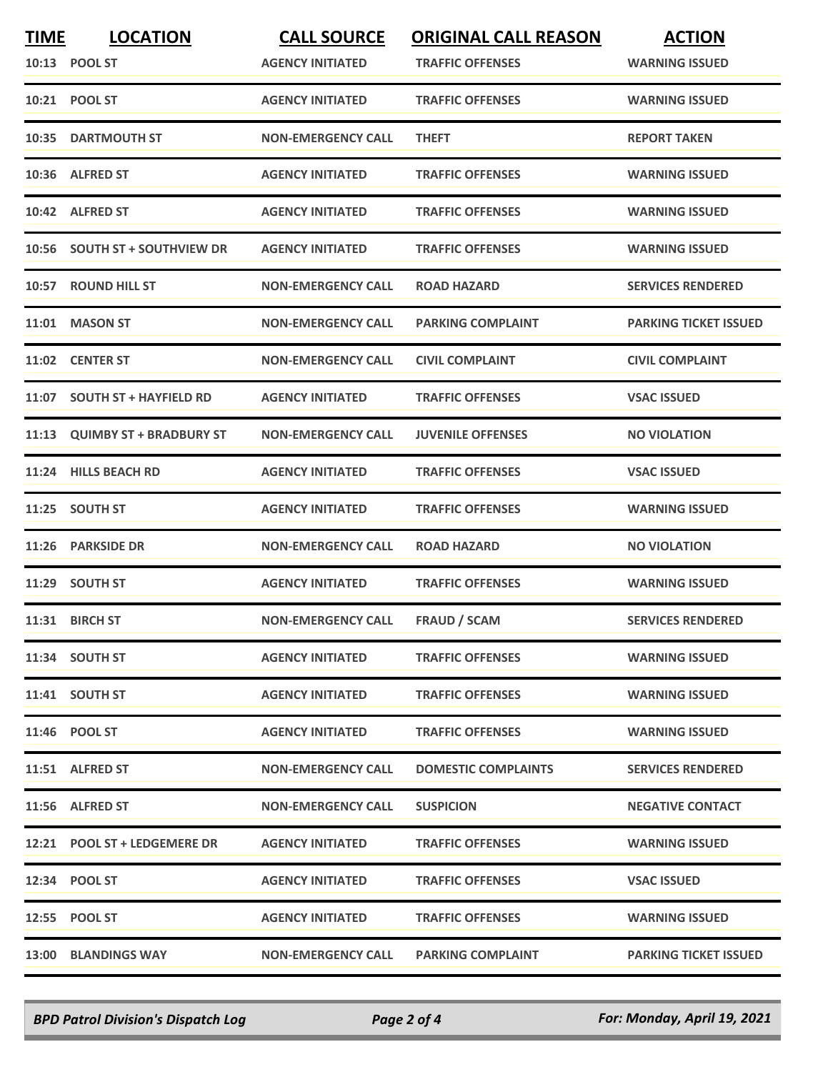| <b>TIME</b> | <b>LOCATION</b>               | <b>CALL SOURCE</b>        | <b>ORIGINAL CALL REASON</b> | <b>ACTION</b>                |
|-------------|-------------------------------|---------------------------|-----------------------------|------------------------------|
|             | 10:13 POOL ST                 | <b>AGENCY INITIATED</b>   | <b>TRAFFIC OFFENSES</b>     | <b>WARNING ISSUED</b>        |
|             | 10:21 POOL ST                 | <b>AGENCY INITIATED</b>   | <b>TRAFFIC OFFENSES</b>     | <b>WARNING ISSUED</b>        |
|             | 10:35 DARTMOUTH ST            | <b>NON-EMERGENCY CALL</b> | <b>THEFT</b>                | <b>REPORT TAKEN</b>          |
|             | 10:36 ALFRED ST               | <b>AGENCY INITIATED</b>   | <b>TRAFFIC OFFENSES</b>     | <b>WARNING ISSUED</b>        |
|             | 10:42 ALFRED ST               | <b>AGENCY INITIATED</b>   | <b>TRAFFIC OFFENSES</b>     | <b>WARNING ISSUED</b>        |
|             | 10:56 SOUTH ST + SOUTHVIEW DR | <b>AGENCY INITIATED</b>   | <b>TRAFFIC OFFENSES</b>     | <b>WARNING ISSUED</b>        |
| 10:57       | <b>ROUND HILL ST</b>          | <b>NON-EMERGENCY CALL</b> | <b>ROAD HAZARD</b>          | <b>SERVICES RENDERED</b>     |
| 11:01       | <b>MASON ST</b>               | <b>NON-EMERGENCY CALL</b> | <b>PARKING COMPLAINT</b>    | <b>PARKING TICKET ISSUED</b> |
|             | 11:02 CENTER ST               | <b>NON-EMERGENCY CALL</b> | <b>CIVIL COMPLAINT</b>      | <b>CIVIL COMPLAINT</b>       |
|             | 11:07 SOUTH ST + HAYFIELD RD  | <b>AGENCY INITIATED</b>   | <b>TRAFFIC OFFENSES</b>     | <b>VSAC ISSUED</b>           |
|             | 11:13 QUIMBY ST + BRADBURY ST | <b>NON-EMERGENCY CALL</b> | <b>JUVENILE OFFENSES</b>    | <b>NO VIOLATION</b>          |
|             | 11:24 HILLS BEACH RD          | <b>AGENCY INITIATED</b>   | <b>TRAFFIC OFFENSES</b>     | <b>VSAC ISSUED</b>           |
|             | 11:25 SOUTH ST                | <b>AGENCY INITIATED</b>   | <b>TRAFFIC OFFENSES</b>     | <b>WARNING ISSUED</b>        |
| 11:26       | <b>PARKSIDE DR</b>            | <b>NON-EMERGENCY CALL</b> | <b>ROAD HAZARD</b>          | <b>NO VIOLATION</b>          |
|             | 11:29 SOUTH ST                | <b>AGENCY INITIATED</b>   | <b>TRAFFIC OFFENSES</b>     | <b>WARNING ISSUED</b>        |
|             | 11:31 BIRCH ST                | <b>NON-EMERGENCY CALL</b> | <b>FRAUD / SCAM</b>         | <b>SERVICES RENDERED</b>     |
|             | 11:34 SOUTH ST                | <b>AGENCY INITIATED</b>   | <b>TRAFFIC OFFENSES</b>     | <b>WARNING ISSUED</b>        |
|             | 11:41 SOUTH ST                | <b>AGENCY INITIATED</b>   | <b>TRAFFIC OFFENSES</b>     | <b>WARNING ISSUED</b>        |
|             | 11:46 POOL ST                 | <b>AGENCY INITIATED</b>   | <b>TRAFFIC OFFENSES</b>     | <b>WARNING ISSUED</b>        |
|             | 11:51 ALFRED ST               | <b>NON-EMERGENCY CALL</b> | <b>DOMESTIC COMPLAINTS</b>  | <b>SERVICES RENDERED</b>     |
|             | 11:56 ALFRED ST               | <b>NON-EMERGENCY CALL</b> | <b>SUSPICION</b>            | <b>NEGATIVE CONTACT</b>      |
|             | 12:21 POOL ST + LEDGEMERE DR  | <b>AGENCY INITIATED</b>   | <b>TRAFFIC OFFENSES</b>     | <b>WARNING ISSUED</b>        |
|             | 12:34 POOL ST                 | <b>AGENCY INITIATED</b>   | <b>TRAFFIC OFFENSES</b>     | <b>VSAC ISSUED</b>           |
|             | 12:55 POOL ST                 | <b>AGENCY INITIATED</b>   | <b>TRAFFIC OFFENSES</b>     | <b>WARNING ISSUED</b>        |
|             | <b>13:00 BLANDINGS WAY</b>    | <b>NON-EMERGENCY CALL</b> | <b>PARKING COMPLAINT</b>    | <b>PARKING TICKET ISSUED</b> |

*BPD Patrol Division's Dispatch Log Page 2 of 4 For: Monday, April 19, 2021*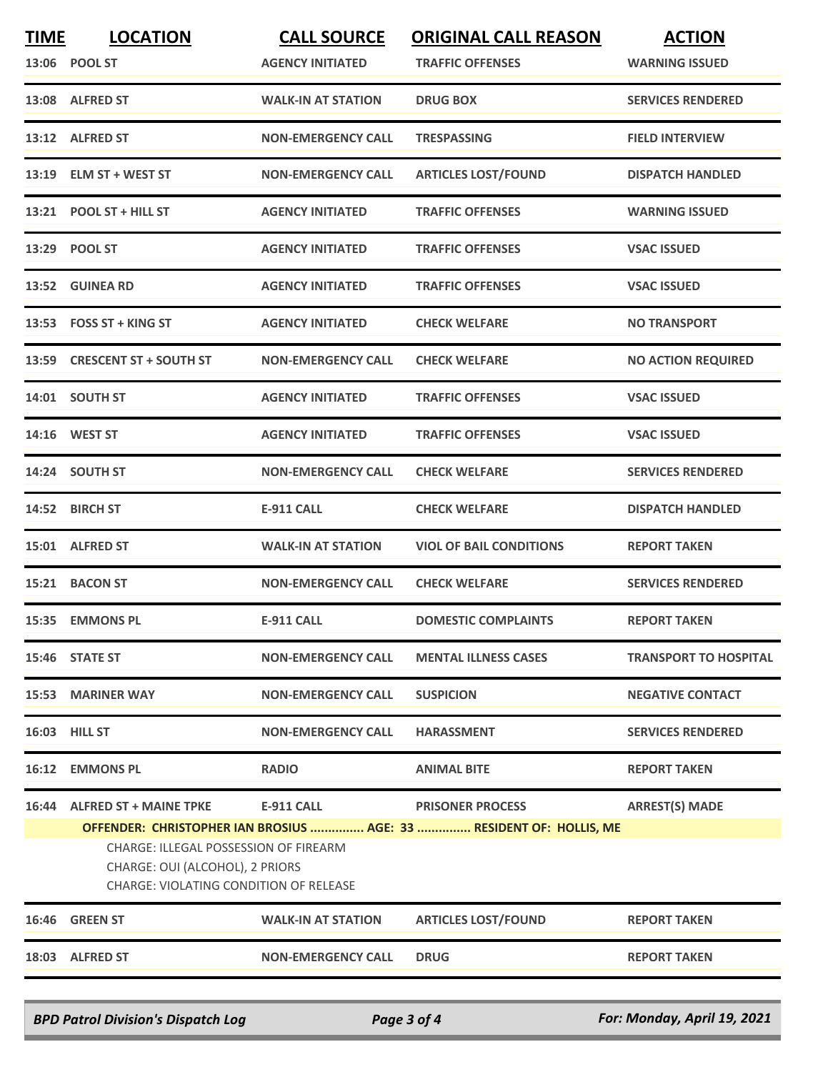| <b>TIME</b> | <b>LOCATION</b>                                                                                                    | <b>CALL SOURCE</b>        | <b>ORIGINAL CALL REASON</b>                                         | <b>ACTION</b>                |
|-------------|--------------------------------------------------------------------------------------------------------------------|---------------------------|---------------------------------------------------------------------|------------------------------|
|             | 13:06 POOL ST                                                                                                      | <b>AGENCY INITIATED</b>   | <b>TRAFFIC OFFENSES</b>                                             | <b>WARNING ISSUED</b>        |
|             | 13:08 ALFRED ST                                                                                                    | <b>WALK-IN AT STATION</b> | <b>DRUG BOX</b>                                                     | <b>SERVICES RENDERED</b>     |
|             | 13:12 ALFRED ST                                                                                                    | <b>NON-EMERGENCY CALL</b> | <b>TRESPASSING</b>                                                  | <b>FIELD INTERVIEW</b>       |
|             | 13:19 ELM ST + WEST ST                                                                                             | <b>NON-EMERGENCY CALL</b> | <b>ARTICLES LOST/FOUND</b>                                          | <b>DISPATCH HANDLED</b>      |
|             | 13:21 POOL ST + HILL ST                                                                                            | <b>AGENCY INITIATED</b>   | <b>TRAFFIC OFFENSES</b>                                             | <b>WARNING ISSUED</b>        |
|             | 13:29 POOL ST                                                                                                      | <b>AGENCY INITIATED</b>   | <b>TRAFFIC OFFENSES</b>                                             | <b>VSAC ISSUED</b>           |
|             | 13:52 GUINEA RD                                                                                                    | <b>AGENCY INITIATED</b>   | <b>TRAFFIC OFFENSES</b>                                             | <b>VSAC ISSUED</b>           |
|             | $13:53$ FOSS ST + KING ST                                                                                          | <b>AGENCY INITIATED</b>   | <b>CHECK WELFARE</b>                                                | <b>NO TRANSPORT</b>          |
|             | 13:59 CRESCENT ST + SOUTH ST                                                                                       | <b>NON-EMERGENCY CALL</b> | <b>CHECK WELFARE</b>                                                | <b>NO ACTION REQUIRED</b>    |
|             | 14:01 SOUTH ST                                                                                                     | <b>AGENCY INITIATED</b>   | <b>TRAFFIC OFFENSES</b>                                             | <b>VSAC ISSUED</b>           |
|             | 14:16 WEST ST                                                                                                      | <b>AGENCY INITIATED</b>   | <b>TRAFFIC OFFENSES</b>                                             | <b>VSAC ISSUED</b>           |
|             | 14:24 SOUTH ST                                                                                                     | <b>NON-EMERGENCY CALL</b> | <b>CHECK WELFARE</b>                                                | <b>SERVICES RENDERED</b>     |
|             | 14:52 BIRCH ST                                                                                                     | <b>E-911 CALL</b>         | <b>CHECK WELFARE</b>                                                | <b>DISPATCH HANDLED</b>      |
| 15:01       | <b>ALFRED ST</b>                                                                                                   | <b>WALK-IN AT STATION</b> | <b>VIOL OF BAIL CONDITIONS</b>                                      | <b>REPORT TAKEN</b>          |
|             | 15:21 BACON ST                                                                                                     | <b>NON-EMERGENCY CALL</b> | <b>CHECK WELFARE</b>                                                | <b>SERVICES RENDERED</b>     |
|             | 15:35 EMMONS PL                                                                                                    | <b>E-911 CALL</b>         | <b>DOMESTIC COMPLAINTS</b>                                          | <b>REPORT TAKEN</b>          |
|             | 15:46 STATE ST                                                                                                     | <b>NON-EMERGENCY CALL</b> | <b>MENTAL ILLNESS CASES</b>                                         | <b>TRANSPORT TO HOSPITAL</b> |
|             | 15:53 MARINER WAY                                                                                                  | <b>NON-EMERGENCY CALL</b> | <b>SUSPICION</b>                                                    | <b>NEGATIVE CONTACT</b>      |
|             | <b>16:03 HILL ST</b>                                                                                               | <b>NON-EMERGENCY CALL</b> | <b>HARASSMENT</b>                                                   | <b>SERVICES RENDERED</b>     |
|             | 16:12 EMMONS PL                                                                                                    | <b>RADIO</b>              | <b>ANIMAL BITE</b>                                                  | <b>REPORT TAKEN</b>          |
|             | 16:44 ALFRED ST + MAINE TPKE                                                                                       | E-911 CALL                | <b>PRISONER PROCESS</b>                                             | <b>ARREST(S) MADE</b>        |
|             | CHARGE: ILLEGAL POSSESSION OF FIREARM<br>CHARGE: OUI (ALCOHOL), 2 PRIORS<br>CHARGE: VIOLATING CONDITION OF RELEASE |                           | OFFENDER: CHRISTOPHER IAN BROSIUS  AGE: 33  RESIDENT OF: HOLLIS, ME |                              |
|             | 16:46 GREEN ST                                                                                                     | <b>WALK-IN AT STATION</b> | <b>ARTICLES LOST/FOUND</b>                                          | <b>REPORT TAKEN</b>          |
|             | 18:03 ALFRED ST                                                                                                    | <b>NON-EMERGENCY CALL</b> | <b>DRUG</b>                                                         | <b>REPORT TAKEN</b>          |
|             |                                                                                                                    |                           |                                                                     |                              |
|             | <b>BPD Patrol Division's Dispatch Log</b>                                                                          | Page 3 of 4               |                                                                     | For: Monday, April 19, 2021  |